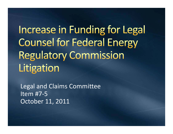Increase in Funding for Legal **Counsel for Federal Energy Regulatory Commission** Litigation

Legal and Claims Committee Item #7‐5 October 11, 2011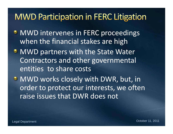### **MWD Participation in FERC Litigation**

- MWD intervenes in FERC proceedings when the financial stakes are high
- MWD partners with the State Water Contractors and other governmental entities to share costs
- MWD works closely with DWR, but, in order to protect our interests, we often raise issues that DWR does not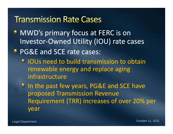#### **Transmission Rate Cases**

- MWD's primary focus at FERC is on Investor ‐Owned Utility (IOU) rate cases
- PG&E and SCE rate cases:
	- IOUs need to build transmission to obtain renewable energy and replace aging in frastructure
	- In the past few years, PG&E and SCE have proposed Transmission Revenue Requirement (TRR) increases of over 20% per year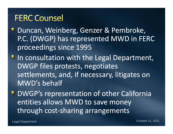#### **FERC Counsel**

- **Duncan, Weinberg, Genzer & Pembroke,** P.C. (DWGP) has represented MWD in FERC proceedings since 1995
- In consultation with the Legal Department, DWGP files protests, negotiates settlements, and, if necessary, litigates on MWD's behalf
- DWGP's representation of other California entities allows MWD to save money through cost-sharing arrangements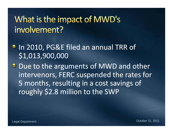## What is the impact of MWD's involvement?

- In 2010, PG&E filed an annual TRR of \$1,013,900,000
- Due to the arguments of MWD and other intervenors, FERC suspended the rates for 5 months, resulting in <sup>a</sup> cost savings of roughly \$2.8 million to the SWP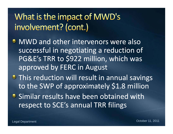# What is the impact of MWD's involvement? (cont.)

- MWD and other intervenors were also successful in negotiating <sup>a</sup> reduction of PG&E's TRR to \$922 million, which was approved by FERC in August
- This reduction will result in annual savings to the SWP of approximately \$1.8 million
- Similar results have been obtained with respect to SCE's annual TRR filings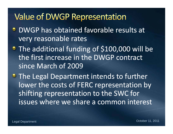### **Value of DWGP Representation**

- DWGP has obtained favorable results at very reasonable rates
- The additional funding of \$100,000 will be the first increase in the DWGP contract since March of 2009
- The Legal Department intends to further lower the costs of FERC representation by shifting representation to the SWC for issues where we share <sup>a</sup> common interest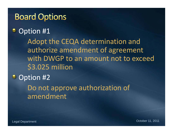### **Board Options**

#### c Option #1

Adopt the CEQA determination and authorize amendment of agreement with DWGP to an amount not to exceed \$3.025 million

#### O, Option #2

Do not approve authorization of amendment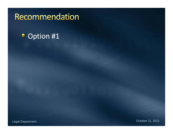### Recommendation

#### **C** Option #1